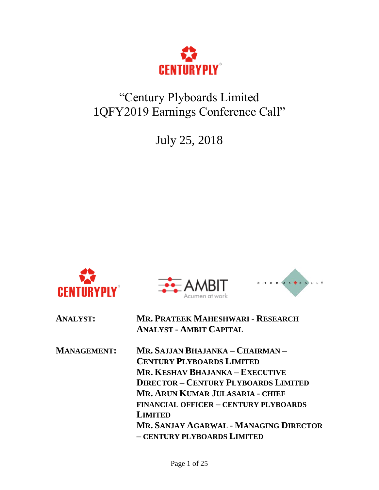

# "Century Plyboards Limited 1QFY2019 Earnings Conference Call"

July 25, 2018







| <b>ANALYST:</b>    | <b>MR. PRATEEK MAHESHWARI - RESEARCH</b><br><b>ANALYST - AMBIT CAPITAL</b> |
|--------------------|----------------------------------------------------------------------------|
| <b>MANAGEMENT:</b> | Mr. Sajjan Bhajanka – Chairman –                                           |
|                    | <b>CENTURY PLYBOARDS LIMITED</b>                                           |
|                    | MR. KESHAV BHAJANKA – EXECUTIVE                                            |
|                    | <b>DIRECTOR - CENTURY PLYBOARDS LIMITED</b>                                |
|                    | MR. ARUN KUMAR JULASARIA - CHIEF                                           |
|                    | <b>FINANCIAL OFFICER - CENTURY PLYBOARDS</b>                               |
|                    | <b>LIMITED</b>                                                             |
|                    | MR. SANJAY AGARWAL - MANAGING DIRECTOR                                     |
|                    | - CENTURY PLYBOARDS LIMITED                                                |
|                    |                                                                            |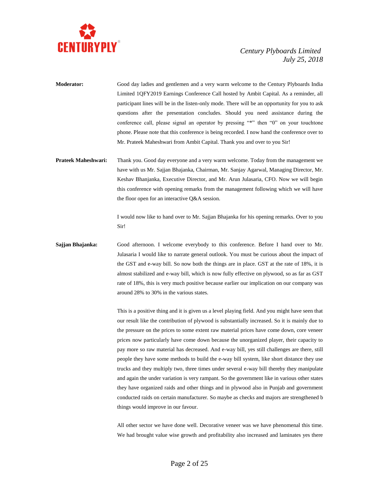

- **Moderator:** Good day ladies and gentlemen and a very warm welcome to the Century Plyboards India Limited 1QFY2019 Earnings Conference Call hosted by Ambit Capital. As a reminder, all participant lines will be in the listen-only mode. There will be an opportunity for you to ask questions after the presentation concludes. Should you need assistance during the conference call, please signal an operator by pressing "\*" then "0" on your touchtone phone. Please note that this conference is being recorded. I now hand the conference over to Mr. Prateek Maheshwari from Ambit Capital. Thank you and over to you Sir!
- **Prateek Maheshwari:** Thank you. Good day everyone and a very warm welcome. Today from the management we have with us Mr. Sajjan Bhajanka, Chairman, Mr. Sanjay Agarwal, Managing Director, Mr. Keshav Bhanjanka, Executive Director, and Mr. Arun Julasaria, CFO. Now we will begin this conference with opening remarks from the management following which we will have the floor open for an interactive Q&A session.

I would now like to hand over to Mr. Sajjan Bhajanka for his opening remarks. Over to you Sir!

**Sajjan Bhajanka:** Good afternoon. I welcome everybody to this conference. Before I hand over to Mr. Julasaria I would like to narrate general outlook. You must be curious about the impact of the GST and e-way bill. So now both the things are in place. GST at the rate of 18%, it is almost stabilized and e-way bill, which is now fully effective on plywood, so as far as GST rate of 18%, this is very much positive because earlier our implication on our company was around 28% to 30% in the various states.

> This is a positive thing and it is given us a level playing field. And you might have seen that our result like the contribution of plywood is substantially increased. So it is mainly due to the pressure on the prices to some extent raw material prices have come down, core veneer prices now particularly have come down because the unorganized player, their capacity to pay more so raw material has decreased. And e-way bill, yes still challenges are there, still people they have some methods to build the e-way bill system, like short distance they use trucks and they multiply two, three times under several e-way bill thereby they manipulate and again the under variation is very rampant. So the government like in various other states they have organized raids and other things and in plywood also in Punjab and government conducted raids on certain manufacturer. So maybe as checks and majors are strengthened b things would improve in our favour.

> All other sector we have done well. Decorative veneer was we have phenomenal this time. We had brought value wise growth and profitability also increased and laminates yes there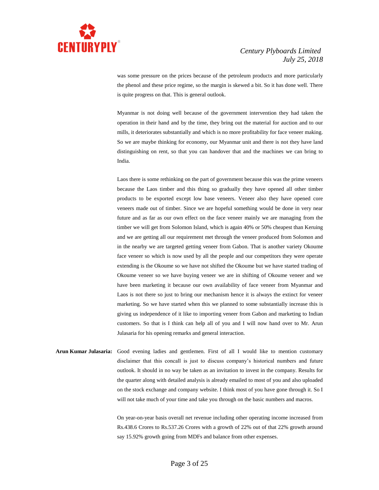

was some pressure on the prices because of the petroleum products and more particularly the phenol and these price regime, so the margin is skewed a bit. So it has done well. There is quite progress on that. This is general outlook.

Myanmar is not doing well because of the government intervention they had taken the operation in their hand and by the time, they bring out the material for auction and to our mills, it deteriorates substantially and which is no more profitability for face veneer making. So we are maybe thinking for economy, our Myanmar unit and there is not they have land distinguishing on rent, so that you can handover that and the machines we can bring to India.

Laos there is some rethinking on the part of government because this was the prime veneers because the Laos timber and this thing so gradually they have opened all other timber products to be exported except low base veneers. Veneer also they have opened core veneers made out of timber. Since we are hopeful something would be done in very near future and as far as our own effect on the face veneer mainly we are managing from the timber we will get from Solomon Island, which is again 40% or 50% cheapest than Keruing and we are getting all our requirement met through the veneer produced from Solomon and in the nearby we are targeted getting veneer from Gabon. That is another variety Okoume face veneer so which is now used by all the people and our competitors they were operate extending is the Okoume so we have not shifted the Okoume but we have started trading of Okoume veneer so we have buying veneer we are in shifting of Okoume veneer and we have been marketing it because our own availability of face veneer from Myanmar and Laos is not there so just to bring our mechanism hence it is always the extinct for veneer marketing. So we have started when this we planned to some substantially increase this is giving us independence of it like to importing veneer from Gabon and marketing to Indian customers. So that is I think can help all of you and I will now hand over to Mr. Arun Julasaria for his opening remarks and general interaction.

**Arun Kumar Julasaria:** Good evening ladies and gentlemen. First of all I would like to mention customary disclaimer that this concall is just to discuss company's historical numbers and future outlook. It should in no way be taken as an invitation to invest in the company. Results for the quarter along with detailed analysis is already emailed to most of you and also uploaded on the stock exchange and company website. I think most of you have gone through it. So I will not take much of your time and take you through on the basic numbers and macros.

> On year-on-year basis overall net revenue including other operating income increased from Rs.438.6 Crores to Rs.537.26 Crores with a growth of 22% out of that 22% growth around say 15.92% growth going from MDFs and balance from other expenses.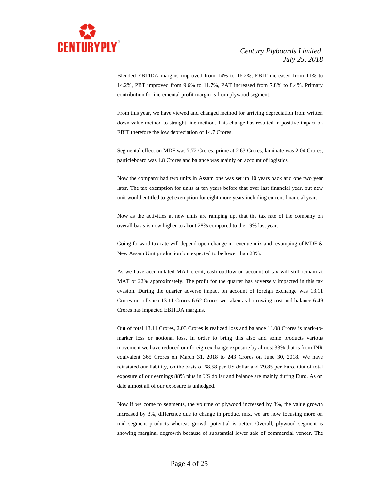

Blended EBTIDA margins improved from 14% to 16.2%, EBIT increased from 11% to 14.2%, PBT improved from 9.6% to 11.7%, PAT increased from 7.8% to 8.4%. Primary contribution for incremental profit margin is from plywood segment.

From this year, we have viewed and changed method for arriving depreciation from written down value method to straight-line method. This change has resulted in positive impact on EBIT therefore the low depreciation of 14.7 Crores.

Segmental effect on MDF was 7.72 Crores, prime at 2.63 Crores, laminate was 2.04 Crores, particleboard was 1.8 Crores and balance was mainly on account of logistics.

Now the company had two units in Assam one was set up 10 years back and one two year later. The tax exemption for units at ten years before that over last financial year, but new unit would entitled to get exemption for eight more years including current financial year.

Now as the activities at new units are ramping up, that the tax rate of the company on overall basis is now higher to about 28% compared to the 19% last year.

Going forward tax rate will depend upon change in revenue mix and revamping of MDF & New Assam Unit production but expected to be lower than 28%.

As we have accumulated MAT credit, cash outflow on account of tax will still remain at MAT or 22% approximately. The profit for the quarter has adversely impacted in this tax evasion. During the quarter adverse impact on account of foreign exchange was 13.11 Crores out of such 13.11 Crores 6.62 Crores we taken as borrowing cost and balance 6.49 Crores has impacted EBITDA margins.

Out of total 13.11 Crores, 2.03 Crores is realized loss and balance 11.08 Crores is mark-tomarker loss or notional loss. In order to bring this also and some products various movement we have reduced our foreign exchange exposure by almost 33% that is from INR equivalent 365 Crores on March 31, 2018 to 243 Crores on June 30, 2018. We have reinstated our liability, on the basis of 68.58 per US dollar and 79.85 per Euro. Out of total exposure of our earnings 88% plus in US dollar and balance are mainly during Euro. As on date almost all of our exposure is unhedged.

Now if we come to segments, the volume of plywood increased by 8%, the value growth increased by 3%, difference due to change in product mix, we are now focusing more on mid segment products whereas growth potential is better. Overall, plywood segment is showing marginal degrowth because of substantial lower sale of commercial veneer. The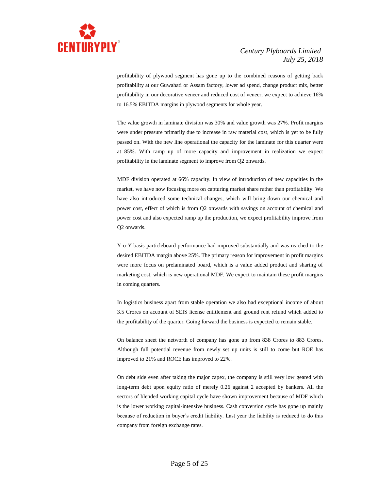

profitability of plywood segment has gone up to the combined reasons of getting back profitability at our Guwahati or Assam factory, lower ad spend, change product mix, better profitability in our decorative veneer and reduced cost of veneer, we expect to achieve 16% to 16.5% EBITDA margins in plywood segments for whole year.

The value growth in laminate division was 30% and value growth was 27%. Profit margins were under pressure primarily due to increase in raw material cost, which is yet to be fully passed on. With the new line operational the capacity for the laminate for this quarter were at 85%. With ramp up of more capacity and improvement in realization we expect profitability in the laminate segment to improve from Q2 onwards.

MDF division operated at 66% capacity. In view of introduction of new capacities in the market, we have now focusing more on capturing market share rather than profitability. We have also introduced some technical changes, which will bring down our chemical and power cost, effect of which is from Q2 onwards with savings on account of chemical and power cost and also expected ramp up the production, we expect profitability improve from Q2 onwards.

Y-o-Y basis particleboard performance had improved substantially and was reached to the desired EBITDA margin above 25%. The primary reason for improvement in profit margins were more focus on prelaminated board, which is a value added product and sharing of marketing cost, which is new operational MDF. We expect to maintain these profit margins in coming quarters.

In logistics business apart from stable operation we also had exceptional income of about 3.5 Crores on account of SEIS license entitlement and ground rent refund which added to the profitability of the quarter. Going forward the business is expected to remain stable.

On balance sheet the networth of company has gone up from 838 Crores to 883 Crores. Although full potential revenue from newly set up units is still to come but ROE has improved to 21% and ROCE has improved to 22%.

On debt side even after taking the major capex, the company is still very low geared with long-term debt upon equity ratio of merely 0.26 against 2 accepted by bankers. All the sectors of blended working capital cycle have shown improvement because of MDF which is the lower working capital-intensive business. Cash conversion cycle has gone up mainly because of reduction in buyer's credit liability. Last year the liability is reduced to do this company from foreign exchange rates.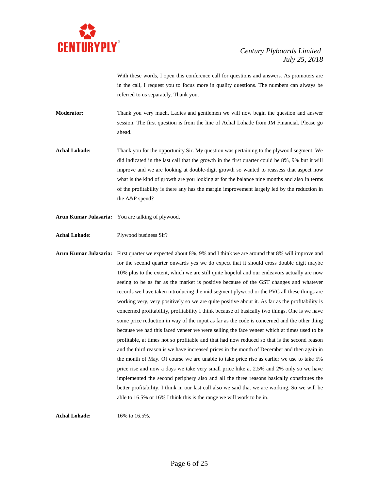

With these words, I open this conference call for questions and answers. As promoters are in the call, I request you to focus more in quality questions. The numbers can always be referred to us separately. Thank you.

**Moderator:** Thank you very much. Ladies and gentlemen we will now begin the question and answer session. The first question is from the line of Achal Lohade from JM Financial. Please go ahead.

**Achal Lohade:** Thank you for the opportunity Sir. My question was pertaining to the plywood segment. We did indicated in the last call that the growth in the first quarter could be 8%, 9% but it will improve and we are looking at double-digit growth so wanted to reassess that aspect now what is the kind of growth are you looking at for the balance nine months and also in terms of the profitability is there any has the margin improvement largely led by the reduction in the A&P spend?

**Arun Kumar Julasaria:** You are talking of plywood.

**Achal Lohade:** Plywood business Sir?

**Arun Kumar Julasaria:** First quarter we expected about 8%, 9% and I think we are around that 8% will improve and for the second quarter onwards yes we do expect that it should cross double digit maybe 10% plus to the extent, which we are still quite hopeful and our endeavors actually are now seeing to be as far as the market is positive because of the GST changes and whatever records we have taken introducing the mid segment plywood or the PVC all these things are working very, very positively so we are quite positive about it. As far as the profitability is concerned profitability, profitability I think because of basically two things. One is we have some price reduction in way of the input as far as the code is concerned and the other thing because we had this faced veneer we were selling the face veneer which at times used to be profitable, at times not so profitable and that had now reduced so that is the second reason and the third reason is we have increased prices in the month of December and then again in the month of May. Of course we are unable to take price rise as earlier we use to take 5% price rise and now a days we take very small price hike at 2.5% and 2% only so we have implemented the second periphery also and all the three reasons basically constitutes the better profitability. I think in our last call also we said that we are working. So we will be able to 16.5% or 16% I think this is the range we will work to be in.

**Achal Lohade:** 16% to 16.5%.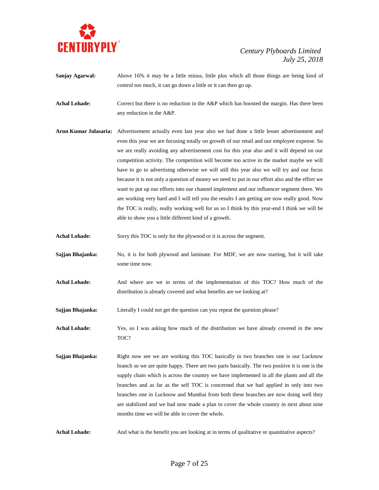

- **Sanjay Agarwal:** Above 16% it may be a little minus, little plus which all those things are being kind of control too much, it can go down a little or it can then go up.
- Achal Lohade: Correct but there is no reduction in the A&P which has boosted the margin. Has there been any reduction in the A&P.
- **Arun Kumar Julasaria:** Advertisement actually even last year also we had done a little lesser advertisement and even this year we are focusing totally on growth of our retail and our employee expense. So we are really avoiding any advertisement cost for this year also and it will depend on our competition activity. The competition will become too active in the market maybe we will have to go to advertising otherwise we will still this year also we will try and our focus because it is not only a question of money we need to put in our effort also and the effort we want to put up our efforts into our channel implement and our influencer segment there. We are working very hard and I will tell you the results I am getting are now really good. Now the TOC is really, really working well for us so I think by this year-end I think we will be able to show you a little different kind of a growth.
- **Achal Lohade:** Sorry this TOC is only for the plywood or it is across the segment.
- **Sajjan Bhajanka:** No, it is for both plywood and laminate. For MDF, we are now starting, but it will take some time now.
- **Achal Lohade:** And where are we in terms of the implementation of this TOC? How much of the distribution is already covered and what benefits are we looking at?
- **Sajjan Bhajanka:** Literally I could not get the question can you repeat the question please?
- **Achal Lohade:** Yes, so I was asking how much of the distribution we have already covered in the new TOC?
- **Sajjan Bhajanka:** Right now see we are working this TOC basically in two branches one is our Lucknow branch so we are quite happy. There are two parts basically. The two positive it is one is the supply chain which is across the country we have implemented in all the plants and all the branches and as far as the self TOC is concerned that we had applied in only into two branches one in Lucknow and Mumbai from both these branches are now doing well they are stabilized and we had now made a plan to cover the whole country in next about nine months time we will be able to cover the whole.
- Achal Lohade: And what is the benefit you are looking at in terms of qualitative or quantitative aspects?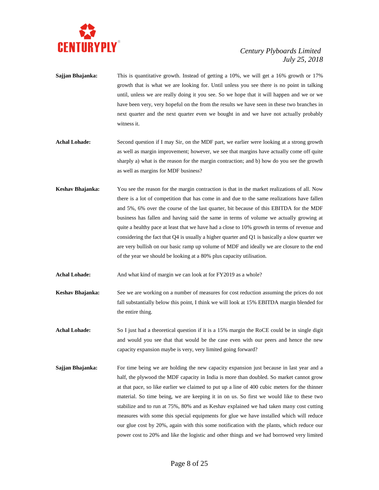

- **Sajjan Bhajanka:** This is quantitative growth. Instead of getting a 10%, we will get a 16% growth or 17% growth that is what we are looking for. Until unless you see there is no point in talking until, unless we are really doing it you see. So we hope that it will happen and we or we have been very, very hopeful on the from the results we have seen in these two branches in next quarter and the next quarter even we bought in and we have not actually probably witness it.
- **Achal Lohade:** Second question if I may Sir, on the MDF part, we earlier were looking at a strong growth as well as margin improvement; however, we see that margins have actually come off quite sharply a) what is the reason for the margin contraction; and b) how do you see the growth as well as margins for MDF business?
- **Keshav Bhajanka:** You see the reason for the margin contraction is that in the market realizations of all. Now there is a lot of competition that has come in and due to the same realizations have fallen and 5%, 6% over the course of the last quarter, bit because of this EBITDA for the MDF business has fallen and having said the same in terms of volume we actually growing at quite a healthy pace at least that we have had a close to 10% growth in terms of revenue and considering the fact that Q4 is usually a higher quarter and Q1 is basically a slow quarter we are very bullish on our basic ramp up volume of MDF and ideally we are closure to the end of the year we should be looking at a 80% plus capacity utilisation.
- Achal Lohade: And what kind of margin we can look at for FY2019 as a whole?
- **Keshav Bhajanka:** See we are working on a number of measures for cost reduction assuming the prices do not fall substantially below this point, I think we will look at 15% EBITDA margin blended for the entire thing.
- **Achal Lohade:** So I just had a theoretical question if it is a 15% margin the RoCE could be in single digit and would you see that that would be the case even with our peers and hence the new capacity expansion maybe is very, very limited going forward?
- **Sajjan Bhajanka:** For time being we are holding the new capacity expansion just because in last year and a half, the plywood the MDF capacity in India is more than doubled. So market cannot grow at that pace, so like earlier we claimed to put up a line of 400 cubic meters for the thinner material. So time being, we are keeping it in on us. So first we would like to these two stabilize and to run at 75%, 80% and as Keshav explained we had taken many cost cutting measures with some this special equipments for glue we have installed which will reduce our glue cost by 20%, again with this some notification with the plants, which reduce our power cost to 20% and like the logistic and other things and we had borrowed very limited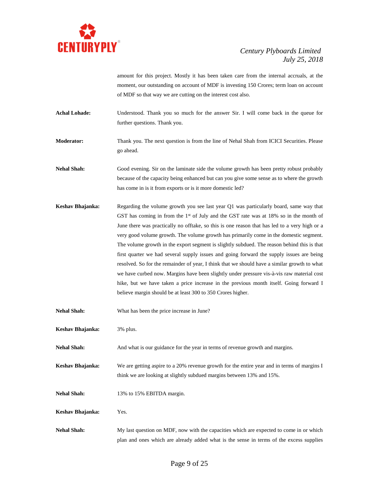

amount for this project. Mostly it has been taken care from the internal accruals, at the moment, our outstanding on account of MDF is investing 150 Crores; term loan on account of MDF so that way we are cutting on the interest cost also.

Achal Lohade: Understood. Thank you so much for the answer Sir. I will come back in the queue for further questions. Thank you.

**Moderator:** Thank you. The next question is from the line of Nehal Shah from ICICI Securities. Please go ahead.

**Nehal Shah:** Good evening. Sir on the laminate side the volume growth has been pretty robust probably because of the capacity being enhanced but can you give some sense as to where the growth has come in is it from exports or is it more domestic led?

- **Keshav Bhajanka:** Regarding the volume growth you see last year Q1 was particularly board, same way that GST has coming in from the  $1<sup>st</sup>$  of July and the GST rate was at  $18%$  so in the month of June there was practically no offtake, so this is one reason that has led to a very high or a very good volume growth. The volume growth has primarily come in the domestic segment. The volume growth in the export segment is slightly subdued. The reason behind this is that first quarter we had several supply issues and going forward the supply issues are being resolved. So for the remainder of year, I think that we should have a similar growth to what we have curbed now. Margins have been slightly under pressure vis-à-vis raw material cost hike, but we have taken a price increase in the previous month itself. Going forward I believe margin should be at least 300 to 350 Crores higher.
- **Nehal Shah:** What has been the price increase in June?
- **Keshav Bhajanka:** 3% plus.
- **Nehal Shah:** And what is our guidance for the year in terms of revenue growth and margins.
- **Keshav Bhajanka:** We are getting aspire to a 20% revenue growth for the entire year and in terms of margins I think we are looking at slightly subdued margins between 13% and 15%.
- **Nehal Shah:** 13% to 15% EBITDA margin.
- **Keshav Bhajanka:** Yes.
- **Nehal Shah:** My last question on MDF, now with the capacities which are expected to come in or which plan and ones which are already added what is the sense in terms of the excess supplies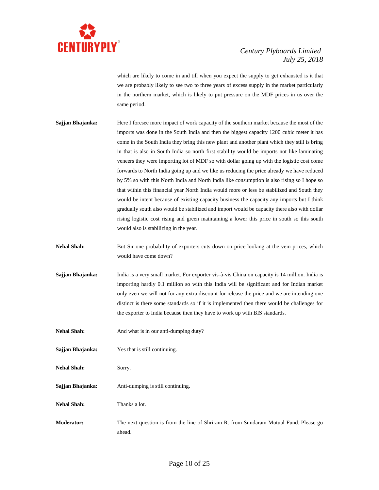

which are likely to come in and till when you expect the supply to get exhausted is it that we are probably likely to see two to three years of excess supply in the market particularly in the northern market, which is likely to put pressure on the MDF prices in us over the same period.

- **Sajjan Bhajanka:** Here I foresee more impact of work capacity of the southern market because the most of the imports was done in the South India and then the biggest capacity 1200 cubic meter it has come in the South India they bring this new plant and another plant which they still is bring in that is also in South India so north first stability would be imports not like laminating veneers they were importing lot of MDF so with dollar going up with the logistic cost come forwards to North India going up and we like us reducing the price already we have reduced by 5% so with this North India and North India like consumption is also rising so I hope so that within this financial year North India would more or less be stabilized and South they would be intent because of existing capacity business the capacity any imports but I think gradually south also would be stabilized and import would be capacity there also with dollar rising logistic cost rising and green maintaining a lower this price in south so this south would also is stabilizing in the year.
- **Nehal Shah:** But Sir one probability of exporters cuts down on price looking at the vein prices, which would have come down?
- **Sajjan Bhajanka:** India is a very small market. For exporter vis-à-vis China on capacity is 14 million. India is importing hardly 0.1 million so with this India will be significant and for Indian market only even we will not for any extra discount for release the price and we are intending one distinct is there some standards so if it is implemented then there would be challenges for the exporter to India because then they have to work up with BIS standards.
- **Nehal Shah:** And what is in our anti-dumping duty?
- **Sajjan Bhajanka:** Yes that is still continuing.
- **Nehal Shah:** Sorry.
- **Sajjan Bhajanka:** Anti-dumping is still continuing.
- **Nehal Shah:** Thanks a lot.
- **Moderator:** The next question is from the line of Shriram R. from Sundaram Mutual Fund. Please go ahead.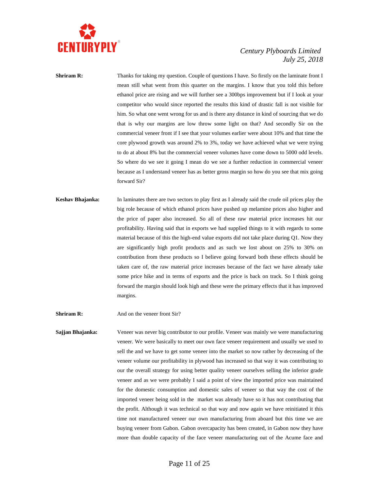

**Shriram R:** Thanks for taking my question. Couple of questions I have. So firstly on the laminate front I mean still what went from this quarter on the margins. I know that you told this before ethanol price are rising and we will further see a 300bps improvement but if I look at your competitor who would since reported the results this kind of drastic fall is not visible for him. So what one went wrong for us and is there any distance in kind of sourcing that we do that is why our margins are low throw some light on that? And secondly Sir on the commercial veneer front if I see that your volumes earlier were about 10% and that time the core plywood growth was around 2% to 3%, today we have achieved what we were trying to do at about 8% but the commercial veneer volumes have come down to 5000 odd levels. So where do we see it going I mean do we see a further reduction in commercial veneer because as I understand veneer has as better gross margin so how do you see that mix going forward Sir?

**Keshav Bhajanka:** In laminates there are two sectors to play first as I already said the crude oil prices play the big role because of which ethanol prices have pushed up melamine prices also higher and the price of paper also increased. So all of these raw material price increases hit our profitability. Having said that in exports we had supplied things to it with regards to some material because of this the high-end value exports did not take place during Q1. Now they are significantly high profit products and as such we lost about on 25% to 30% on contribution from these products so I believe going forward both these effects should be taken care of, the raw material price increases because of the fact we have already take some price hike and in terms of exports and the price is back on track. So I think going forward the margin should look high and these were the primary effects that it has improved margins.

**Shriram R:** And on the veneer front Sir?

**Sajjan Bhajanka:** Veneer was never big contributor to our profile. Veneer was mainly we were manufacturing veneer. We were basically to meet our own face veneer requirement and usually we used to sell the and we have to get some veneer into the market so now rather by decreasing of the veneer volume our profitability in plywood has increased so that way it was contributing to our the overall strategy for using better quality veneer ourselves selling the inferior grade veneer and as we were probably I said a point of view the imported price was maintained for the domestic consumption and domestic sales of veneer so that way the cost of the imported veneer being sold in the market was already have so it has not contributing that the profit. Although it was technical so that way and now again we have reinitiated it this time not manufactured veneer our own manufacturing from aboard but this time we are buying veneer from Gabon. Gabon overcapacity has been created, in Gabon now they have more than double capacity of the face veneer manufacturing out of the Acume face and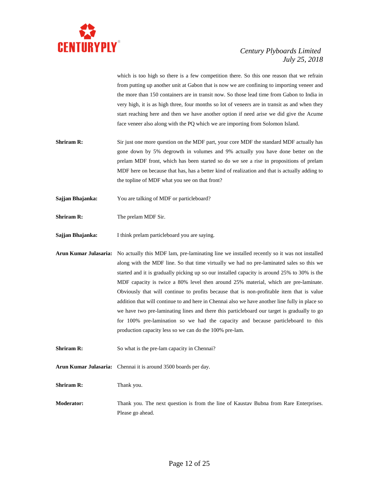

which is too high so there is a few competition there. So this one reason that we refrain from putting up another unit at Gabon that is now we are confining to importing veneer and the more than 150 containers are in transit now. So those lead time from Gabon to India in very high, it is as high three, four months so lot of veneers are in transit as and when they start reaching here and then we have another option if need arise we did give the Acume face veneer also along with the PQ which we are importing from Solomon Island.

- **Shriram R:** Sir just one more question on the MDF part, your core MDF the standard MDF actually has gone down by 5% degrowth in volumes and 9% actually you have done better on the prelam MDF front, which has been started so do we see a rise in propositions of prelam MDF here on because that has, has a better kind of realization and that is actually adding to the topline of MDF what you see on that front?
- **Sajjan Bhajanka:** You are talking of MDF or particleboard?
- **Shriram R:** The prelam MDF Sir.
- **Sajjan Bhajanka:** I think prelam particleboard you are saying.
- **Arun Kumar Julasaria:** No actually this MDF lam, pre-laminating line we installed recently so it was not installed along with the MDF line. So that time virtually we had no pre-laminated sales so this we started and it is gradually picking up so our installed capacity is around 25% to 30% is the MDF capacity is twice a 80% level then around 25% material, which are pre-laminate. Obviously that will continue to profits because that is non-profitable item that is value addition that will continue to and here in Chennai also we have another line fully in place so we have two pre-laminating lines and there this particleboard our target is gradually to go for 100% pre-lamination so we had the capacity and because particleboard to this production capacity less so we can do the 100% pre-lam.
- **Shriram R:** So what is the pre-lam capacity in Chennai?
- **Arun Kumar Julasaria:** Chennai it is around 3500 boards per day.
- **Shriram R:** Thank you.
- **Moderator:** Thank you. The next question is from the line of Kaustav Bubna from Rare Enterprises. Please go ahead.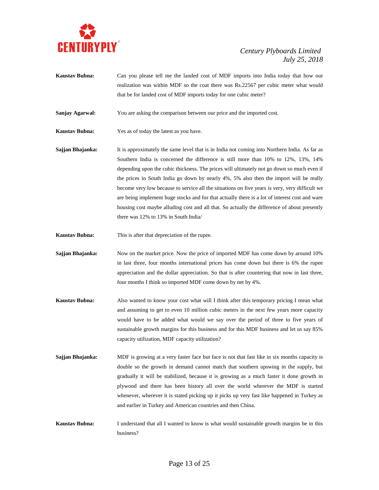

**Kaustav Bubna:** Can you please tell me the landed cost of MDF imports into India today that how our realization was within MDF so the coat there was Rs.22567 per cubic meter what would that be for landed cost of MDF imports today for one cubic meter?

**Sanjay Agarwal:** You are asking the comparison between our price and the imported cost.

- **Kaustav Bubna:** Yes as of today the latest as you have.
- **Sajjan Bhajanka:** It is approximately the same level that is in India not coming into Northern India. As far as Southern India is concerned the difference is still more than 10% to 12%, 13%, 14% depending upon the cubic thickness. The prices will ultimately not go down so much even if the prices in South India go down by nearly 4%, 5% also then the import will be really become very low because to service all the situations on five years is very, very difficult we are being implement huge stocks and for that actually there is a lot of interest cost and ware housing cost maybe alluding cost and all that. So actually the difference of about presently there was 12% to 13% in South India/
- **Kaustav Bubna:** This is after that depreciation of the rupee.
- **Sajjan Bhajanka:** Now on the market price. Now the price of imported MDF has come down by around 10% in last three, four months international prices has come down but there is 6% the rupee appreciation and the dollar appreciation. So that is after countering that now in last three, four months I think so imported MDF come down by net by 4%.
- **Kaustav Bubna:** Also wanted to know your cost what will I think after this temporary pricing I mean what and assuming to get to even 10 million cubic meters in the next few years more capacity would have to be added what would we say over the period of three to five years of sustainable growth margins for this business and for this MDF business and let us say 85% capacity utilization, MDF capacity utilization?
- **Sajjan Bhajanka:** MDF is growing at a very faster face but face is not that fast like in six months capacity is double so the growth in demand cannot match that southern upswing in the supply, but gradually it will be stabilized, because it is growing as a much faster it done growth in plywood and there has been history all over the world wherever the MDF is started whenever, wherever it is stated picking up it picks up very fast like happened in Turkey as and earlier in Turkey and American countries and then China.
- **Kaustav Bubna:** I understand that all I wanted to know is what would sustainable growth margins be in this business?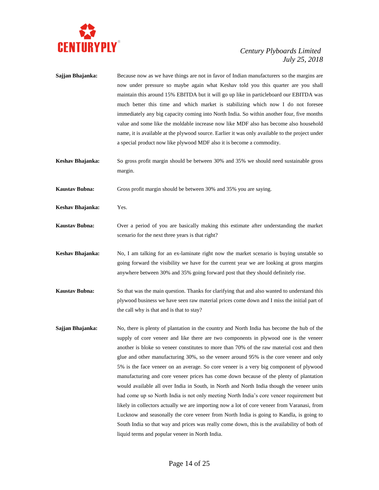

- **Sajjan Bhajanka:** Because now as we have things are not in favor of Indian manufacturers so the margins are now under pressure so maybe again what Keshav told you this quarter are you shall maintain this around 15% EBITDA but it will go up like in particleboard our EBITDA was much better this time and which market is stabilizing which now I do not foresee immediately any big capacity coming into North India. So within another four, five months value and some like the moldable increase now like MDF also has become also household name, it is available at the plywood source. Earlier it was only available to the project under a special product now like plywood MDF also it is become a commodity.
- **Keshav Bhajanka:** So gross profit margin should be between 30% and 35% we should need sustainable gross margin.
- **Kaustav Bubna:** Gross profit margin should be between 30% and 35% you are saying.
- **Keshav Bhajanka:** Yes.
- **Kaustav Bubna:** Over a period of you are basically making this estimate after understanding the market scenario for the next three years is that right?
- **Keshav Bhajanka:** No, I am talking for an ex-laminate right now the market scenario is buying unstable so going forward the visibility we have for the current year we are looking at gross margins anywhere between 30% and 35% going forward post that they should definitely rise.
- **Kaustav Bubna:** So that was the main question. Thanks for clarifying that and also wanted to understand this plywood business we have seen raw material prices come down and I miss the initial part of the call why is that and is that to stay?
- **Sajjan Bhajanka:** No, there is plenty of plantation in the country and North India has become the hub of the supply of core veneer and like there are two components in plywood one is the veneer another is bloke so veneer constitutes to more than 70% of the raw material cost and then glue and other manufacturing 30%, so the veneer around 95% is the core veneer and only 5% is the face veneer on an average. So core veneer is a very big component of plywood manufacturing and core veneer prices has come down because of the plenty of plantation would available all over India in South, in North and North India though the veneer units had come up so North India is not only meeting North India's core veneer requirement but likely in collectors actually we are importing now a lot of core veneer from Varanasi, from Lucknow and seasonally the core veneer from North India is going to Kandla, is going to South India so that way and prices was really come down, this is the availability of both of liquid terms and popular veneer in North India.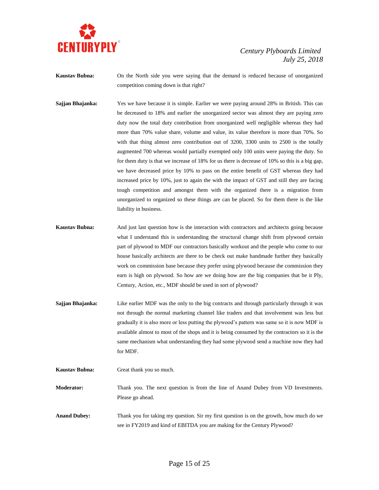

**Kaustav Bubna:** On the North side you were saying that the demand is reduced because of unorganized competition coming down is that right?

- **Sajjan Bhajanka:** Yes we have because it is simple. Earlier we were paying around 28% in British. This can be decreased to 18% and earlier the unorganized sector was almost they are paying zero duty now the total duty contribution from unorganized well negligible whereas they had more than 70% value share, volume and value, its value therefore is more than 70%. So with that thing almost zero contribution out of 3200, 3300 units to 2500 is the totally augmented 700 whereas would partially exempted only 100 units were paying the duty. So for them duty is that we increase of 18% for us there is decrease of 10% so this is a big gap, we have decreased price by 10% to pass on the entire benefit of GST whereas they had increased price by 10%, just to again the with the impact of GST and still they are facing tough competition and amongst them with the organized there is a migration from unorganized to organized so these things are can be placed. So for them there is the like liability in business.
- **Kaustav Bubna:** And just last question how is the interaction with contractors and architects going because what I understand this is understanding the structural change shift from plywood certain part of plywood to MDF our contractors basically workout and the people who come to our house basically architects are there to be check out make handmade further they basically work on commission base because they prefer using plywood because the commission they earn is high on plywood. So how are we doing how are the big companies that be it Ply, Century, Action, etc., MDF should be used in sort of plywood?
- **Sajjan Bhajanka:** Like earlier MDF was the only to the big contracts and through particularly through it was not through the normal marketing channel like traders and that involvement was less but gradually it is also more or less putting the plywood's pattern was same so it is now MDF is available almost to most of the shops and it is being consumed by the contractors so it is the same mechanism what understanding they had some plywood send a machine now they had for MDF.
- **Kaustav Bubna:** Great thank you so much.

**Moderator:** Thank you. The next question is from the line of Anand Dubey from VD Investments. Please go ahead.

**Anand Dubey:** Thank you for taking my question. Sir my first question is on the growth, how much do we see in FY2019 and kind of EBITDA you are making for the Century Plywood?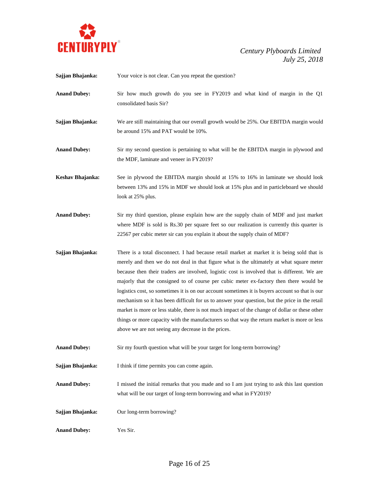

| Sajjan Bhajanka:    | Your voice is not clear. Can you repeat the question?                                                                                                                                                                                                                                                                                                                                                                                                                                                                                                                                                                                                                                                                                                                                                                                            |
|---------------------|--------------------------------------------------------------------------------------------------------------------------------------------------------------------------------------------------------------------------------------------------------------------------------------------------------------------------------------------------------------------------------------------------------------------------------------------------------------------------------------------------------------------------------------------------------------------------------------------------------------------------------------------------------------------------------------------------------------------------------------------------------------------------------------------------------------------------------------------------|
| <b>Anand Dubey:</b> | Sir how much growth do you see in FY2019 and what kind of margin in the Q1<br>consolidated basis Sir?                                                                                                                                                                                                                                                                                                                                                                                                                                                                                                                                                                                                                                                                                                                                            |
| Sajjan Bhajanka:    | We are still maintaining that our overall growth would be 25%. Our EBITDA margin would<br>be around 15% and PAT would be 10%.                                                                                                                                                                                                                                                                                                                                                                                                                                                                                                                                                                                                                                                                                                                    |
| <b>Anand Dubey:</b> | Sir my second question is pertaining to what will be the EBITDA margin in plywood and<br>the MDF, laminate and veneer in FY2019?                                                                                                                                                                                                                                                                                                                                                                                                                                                                                                                                                                                                                                                                                                                 |
| Keshav Bhajanka:    | See in plywood the EBITDA margin should at 15% to 16% in laminate we should look<br>between 13% and 15% in MDF we should look at 15% plus and in particleboard we should<br>look at 25% plus.                                                                                                                                                                                                                                                                                                                                                                                                                                                                                                                                                                                                                                                    |
| <b>Anand Dubey:</b> | Sir my third question, please explain how are the supply chain of MDF and just market<br>where MDF is sold is Rs.30 per square feet so our realization is currently this quarter is<br>22567 per cubic meter sir can you explain it about the supply chain of MDF?                                                                                                                                                                                                                                                                                                                                                                                                                                                                                                                                                                               |
| Sajjan Bhajanka:    | There is a total disconnect. I had because retail market at market it is being sold that is<br>merely and then we do not deal in that figure what is the ultimately at what square meter<br>because then their traders are involved, logistic cost is involved that is different. We are<br>majorly that the consigned to of course per cubic meter ex-factory then there would be<br>logistics cost, so sometimes it is on our account sometimes it is buyers account so that is our<br>mechanism so it has been difficult for us to answer your question, but the price in the retail<br>market is more or less stable, there is not much impact of the change of dollar or these other<br>things or more capacity with the manufacturers so that way the return market is more or less<br>above we are not seeing any decrease in the prices. |
| <b>Anand Dubey:</b> | Sir my fourth question what will be your target for long-term borrowing?                                                                                                                                                                                                                                                                                                                                                                                                                                                                                                                                                                                                                                                                                                                                                                         |
| Sajjan Bhajanka:    | I think if time permits you can come again.                                                                                                                                                                                                                                                                                                                                                                                                                                                                                                                                                                                                                                                                                                                                                                                                      |
| <b>Anand Dubey:</b> | I missed the initial remarks that you made and so I am just trying to ask this last question<br>what will be our target of long-term borrowing and what in FY2019?                                                                                                                                                                                                                                                                                                                                                                                                                                                                                                                                                                                                                                                                               |
| Sajjan Bhajanka:    | Our long-term borrowing?                                                                                                                                                                                                                                                                                                                                                                                                                                                                                                                                                                                                                                                                                                                                                                                                                         |
| <b>Anand Dubey:</b> | Yes Sir.                                                                                                                                                                                                                                                                                                                                                                                                                                                                                                                                                                                                                                                                                                                                                                                                                                         |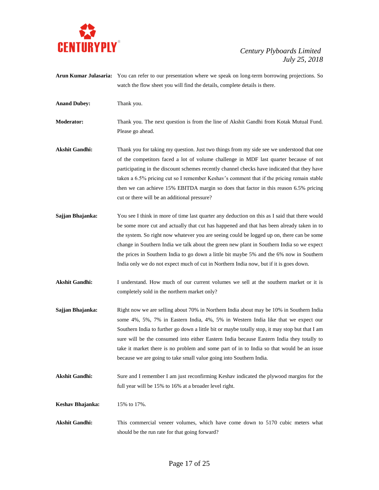

- **Arun Kumar Julasaria:** You can refer to our presentation where we speak on long-term borrowing projections. So watch the flow sheet you will find the details, complete details is there.
- **Anand Dubey:** Thank you.

**Moderator:** Thank you. The next question is from the line of Akshit Gandhi from Kotak Mutual Fund. Please go ahead.

- Akshit Gandhi: Thank you for taking my question. Just two things from my side see we understood that one of the competitors faced a lot of volume challenge in MDF last quarter because of not participating in the discount schemes recently channel checks have indicated that they have taken a 6.5% pricing cut so I remember Keshav's comment that if the pricing remain stable then we can achieve 15% EBITDA margin so does that factor in this reason 6.5% pricing cut or there will be an additional pressure?
- **Sajjan Bhajanka:** You see I think in more of time last quarter any deduction on this as I said that there would be some more cut and actually that cut has happened and that has been already taken in to the system. So right now whatever you are seeing could be logged up on, there can be some change in Southern India we talk about the green new plant in Southern India so we expect the prices in Southern India to go down a little bit maybe 5% and the 6% now in Southern India only we do not expect much of cut in Northern India now, but if it is goes down.
- Akshit Gandhi: I understand. How much of our current volumes we sell at the southern market or it is completely sold in the northern market only?
- **Sajjan Bhajanka:** Right now we are selling about 70% in Northern India about may be 10% in Southern India some 4%, 5%, 7% in Eastern India, 4%, 5% in Western India like that we expect our Southern India to further go down a little bit or maybe totally stop, it may stop but that I am sure will be the consumed into either Eastern India because Eastern India they totally to take it market there is no problem and some part of in to India so that would be an issue because we are going to take small value going into Southern India.
- Akshit Gandhi: Sure and I remember I am just reconfirming Keshav indicated the plywood margins for the full year will be 15% to 16% at a broader level right.
- **Keshav Bhajanka:** 15% to 17%.
- **Akshit Gandhi:** This commercial veneer volumes, which have come down to 5170 cubic meters what should be the run rate for that going forward?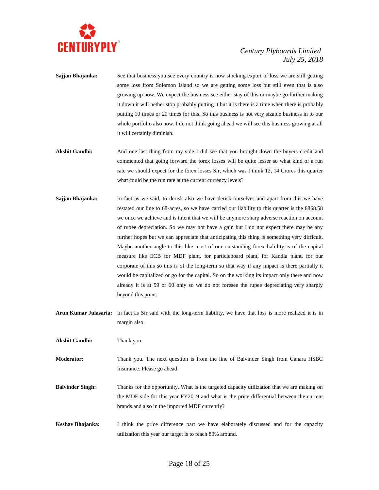

- **Sajjan Bhajanka:** See that business you see every country is now stocking export of loss we are still getting some loss from Solomon Island so we are getting some loss but still even that is also growing up now. We expect the business see either stay of this or maybe go further making it down it will nether stop probably putting it but it is there is a time when there is probably putting 10 times or 20 times for this. So this business is not very sizable business in to our whole portfolio also now. I do not think going ahead we will see this business growing at all it will certainly diminish.
- Akshit Gandhi: And one last thing from my side I did see that you brought down the buyers credit and commented that going forward the forex losses will be quite lesser so what kind of a run rate we should expect for the forex losses Sir, which was I think 12, 14 Crores this quarter what could be the run rate at the current currency levels?
- **Sajjan Bhajanka:** In fact as we said, to derisk also we have derisk ourselves and apart from this we have restated our line to 68-acres, so we have carried our liability to this quarter is the 8868.58 we once we achieve and is intent that we will be anymore sharp adverse reaction on account of rupee depreciation. So we may not have a gain but I do not expect there may be any further hopes but we can appreciate that anticipating this thing is something very difficult. Maybe another angle to this like most of our outstanding forex liability is of the capital measure like ECB for MDF plant, for particleboard plant, for Kandla plant, for our corporate of this so this is of the long-term so that way if any impact is there partially it would be capitalized or go for the capital. So on the working its impact only there and now already it is at 59 or 60 only so we do not foresee the rupee depreciating very sharply beyond this point.
- **Arun Kumar Julasaria:** In fact as Sir said with the long-term liability, we have that loss is more realized it is in margin also.

**Akshit Gandhi:** Thank you.

**Moderator:** Thank you. The next question is from the line of Balvinder Singh from Canara HSBC Insurance. Please go ahead.

- **Balvinder Singh:** Thanks for the opportunity. What is the targeted capacity utilization that we are making on the MDF side for this year FY2019 and what is the price differential between the current brands and also in the imported MDF currently?
- **Keshav Bhajanka:** I think the price difference part we have elaborately discussed and for the capacity utilization this year our target is to reach 80% around.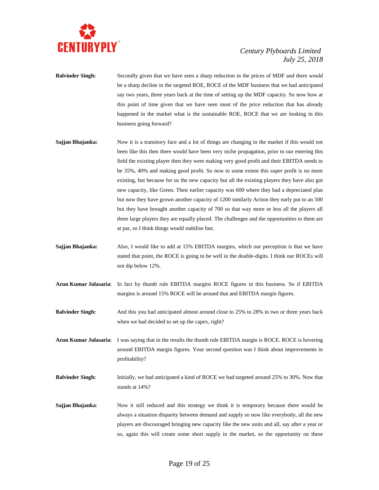

- **Balvinder Singh:** Secondly given that we have seen a sharp reduction in the prices of MDF and there would be a sharp decline in the targeted ROE, ROCE of the MDF business that we had anticipated say two years, three years back at the time of setting up the MDF capacity. So now how at this point of time given that we have seen most of the price reduction that has already happened in the market what is the sustainable ROE, ROCE that we are looking in this business going forward?
- **Sajjan Bhajanka:** Now it is a transitory face and a lot of things are changing in the market if this would not been like this then there would have been very niche propagation, prior to our entering this field the existing player then they were making very good profit and their EBITDA needs to be 35%, 40% and making good profit. So now to some extent this super profit is no more existing, but because for us the new capacity but all the existing players they have also got new capacity, like Green. Their earlier capacity was 600 where they had a depreciated plan but now they have grown another capacity of 1200 similarly Action they early put to an 500 but they have brought another capacity of 700 so that way more or less all the players all three large players they are equally placed. The challenges and the opportunities to them are at par, so I think things would stabilise fast.
- **Sajjan Bhajanka:** Also, I would like to add at 15% EBITDA margins, which our perception is that we have stated that point, the ROCE is going to be well in the double-digits. I think our ROCEs will not dip below 12%.
- **Arun Kumar Julasaria**: In fact by thumb rule EBITDA margins ROCE figures in this business. So if EBITDA margins is around 15% ROCE will be around that and EBITDA margin figures.
- **Balvinder Singh:** And this you had anticipated almost around close to 25% to 28% in two or three years back when we had decided to set up the capex, right?

**Arun Kumar Julasaria**: I was saying that in the results the thumb rule EBITDA margin is ROCE. ROCE is hovering around EBITDA margin figures. Your second question was I think about improvements in profitability?

- **Balvinder Singh:** Initially, we had anticipated a kind of ROCE we had targeted around 25% to 30%. Now that stands at 14%?
- **Sajjan Bhajanka:** Now it still reduced and this strategy we think it is temporary because there would be always a situation disparity between demand and supply so now like everybody, all the new players are discouraged bringing new capacity like the new units and all, say after a year or so, again this will create some short supply in the market, so the opportunity on these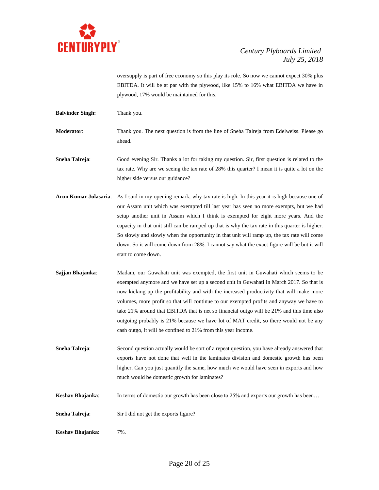

oversupply is part of free economy so this play its role. So now we cannot expect 30% plus EBITDA. It will be at par with the plywood, like 15% to 16% what EBITDA we have in plywood, 17% would be maintained for this.

**Balvinder Singh:** Thank you.

**Moderator**: Thank you. The next question is from the line of Sneha Talreja from Edelweiss. Please go ahead.

**Sneha Talreja**: Good evening Sir. Thanks a lot for taking my question. Sir, first question is related to the tax rate. Why are we seeing the tax rate of 28% this quarter? I mean it is quite a lot on the higher side versus our guidance?

- **Arun Kumar Julasaria**: As I said in my opening remark, why tax rate is high. In this year it is high because one of our Assam unit which was exempted till last year has seen no more exempts, but we had setup another unit in Assam which I think is exempted for eight more years. And the capacity in that unit still can be ramped up that is why the tax rate in this quarter is higher. So slowly and slowly when the opportunity in that unit will ramp up, the tax rate will come down. So it will come down from 28%. I cannot say what the exact figure will be but it will start to come down.
- **Sajjan Bhajanka**: Madam, our Guwahati unit was exempted, the first unit in Guwahati which seems to be exempted anymore and we have set up a second unit in Guwahati in March 2017. So that is now kicking up the profitability and with the increased productivity that will make more volumes, more profit so that will continue to our exempted profits and anyway we have to take 21% around that EBITDA that is net so financial outgo will be 21% and this time also outgoing probably is 21% because we have lot of MAT credit, so there would not be any cash outgo, it will be confined to 21% from this year income.

**Sneha Talreja:** Second question actually would be sort of a repeat question, you have already answered that exports have not done that well in the laminates division and domestic growth has been higher. Can you just quantify the same, how much we would have seen in exports and how much would be domestic growth for laminates?

- **Keshav Bhajanka:** In terms of domestic our growth has been close to 25% and exports our growth has been...
- **Sneha Talreja**: Sir I did not get the exports figure?
- **Keshav Bhajanka**: 7%.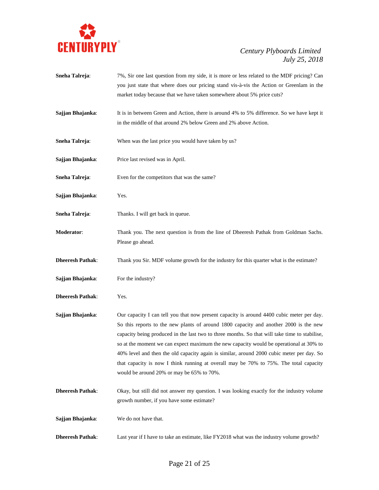

**Sneha Talreja:** 7%, Sir one last question from my side, it is more or less related to the MDF pricing? Can you just state that where does our pricing stand vis-à-vis the Action or Greenlam in the market today because that we have taken somewhere about 5% price cuts? **Sajjan Bhajanka:** It is in between Green and Action, there is around 4% to 5% difference. So we have kept it in the middle of that around 2% below Green and 2% above Action. **Sneha Talreja**: When was the last price you would have taken by us? **Sajjan Bhajanka**: Price last revised was in April. **Sneha Talreja:** Even for the competitors that was the same? **Sajjan Bhajanka**: Yes. **Sneha Talreja:** Thanks. I will get back in queue. **Moderator**: Thank you. The next question is from the line of Dheeresh Pathak from Goldman Sachs. Please go ahead. **Dheeresh Pathak**: Thank you Sir. MDF volume growth for the industry for this quarter what is the estimate? **Sajjan Bhajanka:** For the industry? **Dheeresh Pathak**: Yes. **Sajjan Bhajanka:** Our capacity I can tell you that now present capacity is around 4400 cubic meter per day. So this reports to the new plants of around 1800 capacity and another 2000 is the new capacity being produced in the last two to three months. So that will take time to stabilise, so at the moment we can expect maximum the new capacity would be operational at 30% to 40% level and then the old capacity again is similar, around 2000 cubic meter per day. So that capacity is now I think running at overall may be 70% to 75%. The total capacity would be around 20% or may be 65% to 70%. **Dheeresh Pathak**: Okay, but still did not answer my question. I was looking exactly for the industry volume growth number, if you have some estimate? **Sajjan Bhajanka**: We do not have that. **Dheeresh Pathak**: Last year if I have to take an estimate, like FY2018 what was the industry volume growth?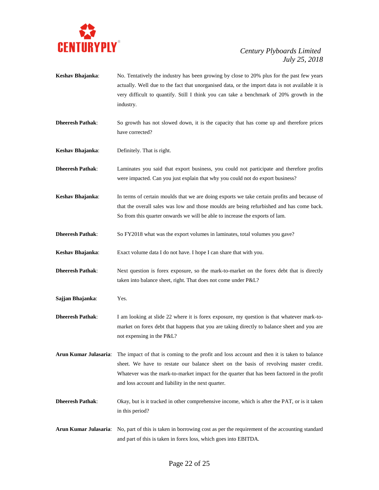

- **Keshav Bhajanka**: No. Tentatively the industry has been growing by close to 20% plus for the past few years actually. Well due to the fact that unorganised data, or the import data is not available it is very difficult to quantify. Still I think you can take a benchmark of 20% growth in the industry.
- **Dheeresh Pathak:** So growth has not slowed down, it is the capacity that has come up and therefore prices have corrected?
- **Keshav Bhajanka**: Definitely. That is right.

**Dheeresh Pathak**: Laminates you said that export business, you could not participate and therefore profits were impacted. Can you just explain that why you could not do export business?

- **Keshav Bhajanka**: In terms of certain moulds that we are doing exports we take certain profits and because of that the overall sales was low and those moulds are being refurbished and has come back. So from this quarter onwards we will be able to increase the exports of lam.
- **Dheeresh Pathak:** So FY2018 what was the export volumes in laminates, total volumes you gave?

**Keshav Bhajanka**: Exact volume data I do not have. I hope I can share that with you.

- **Dheeresh Pathak:** Next question is forex exposure, so the mark-to-market on the forex debt that is directly taken into balance sheet, right. That does not come under P&L?
- **Sajjan Bhajanka**: Yes.

**Dheeresh Pathak**: I am looking at slide 22 where it is forex exposure, my question is that whatever mark-tomarket on forex debt that happens that you are taking directly to balance sheet and you are not expensing in the P&L?

- **Arun Kumar Julasaria**: The impact of that is coming to the profit and loss account and then it is taken to balance sheet. We have to restate our balance sheet on the basis of revolving master credit. Whatever was the mark-to-market impact for the quarter that has been factored in the profit and loss account and liability in the next quarter.
- **Dheeresh Pathak**: Okay, but is it tracked in other comprehensive income, which is after the PAT, or is it taken in this period?
- **Arun Kumar Julasaria**: No, part of this is taken in borrowing cost as per the requirement of the accounting standard and part of this is taken in forex loss, which goes into EBITDA.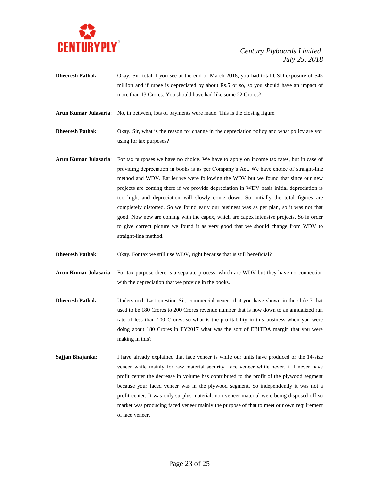

**Dheeresh Pathak**: Okay. Sir, total if you see at the end of March 2018, you had total USD exposure of \$45 million and if rupee is depreciated by about Rs.5 or so, so you should have an impact of more than 13 Crores. You should have had like some 22 Crores?

**Arun Kumar Julasaria**: No, in between, lots of payments were made. This is the closing figure.

**Dheeresh Pathak**: Okay. Sir, what is the reason for change in the depreciation policy and what policy are you using for tax purposes?

- **Arun Kumar Julasaria**: For tax purposes we have no choice. We have to apply on income tax rates, but in case of providing depreciation in books is as per Company's Act. We have choice of straight-line method and WDV. Earlier we were following the WDV but we found that since our new projects are coming there if we provide depreciation in WDV basis initial depreciation is too high, and depreciation will slowly come down. So initially the total figures are completely distorted. So we found early our business was as per plan, so it was not that good. Now new are coming with the capex, which are capex intensive projects. So in order to give correct picture we found it as very good that we should change from WDV to straight-line method.
- **Dheeresh Pathak:** Okay. For tax we still use WDV, right because that is still beneficial?
- **Arun Kumar Julasaria**: For tax purpose there is a separate process, which are WDV but they have no connection with the depreciation that we provide in the books.
- **Dheeresh Pathak**: Understood. Last question Sir, commercial veneer that you have shown in the slide 7 that used to be 180 Crores to 200 Crores revenue number that is now down to an annualized run rate of less than 100 Crores, so what is the profitability in this business when you were doing about 180 Crores in FY2017 what was the sort of EBITDA margin that you were making in this?
- **Sajjan Bhajanka:** I have already explained that face veneer is while our units have produced or the 14-size veneer while mainly for raw material security, face veneer while never, if I never have profit center the decrease in volume has contributed to the profit of the plywood segment because your faced veneer was in the plywood segment. So independently it was not a profit center. It was only surplus material, non-veneer material were being disposed off so market was producing faced veneer mainly the purpose of that to meet our own requirement of face veneer.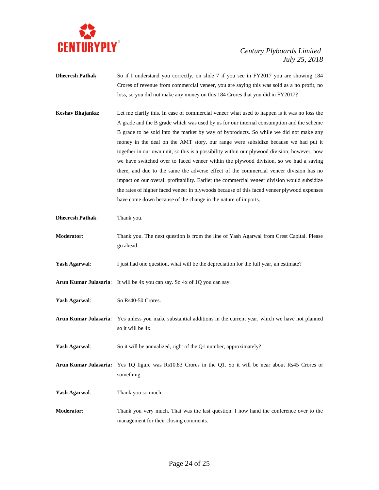

- **Dheeresh Pathak:** So if I understand you correctly, on slide 7 if you see in FY2017 you are showing 184 Crores of revenue from commercial veneer, you are saying this was sold as a no profit, no loss, so you did not make any money on this 184 Crores that you did in FY2017?
- **Keshav Bhajanka**: Let me clarify this. In case of commercial veneer what used to happen is it was no loss the A grade and the B grade which was used by us for our internal consumption and the scheme B grade to be sold into the market by way of byproducts. So while we did not make any money in the deal on the AMT story, our range were subsidize because we had put it together in our own unit, so this is a possibility within our plywood division; however, now we have switched over to faced veneer within the plywood division, so we had a saving there, and due to the same the adverse effect of the commercial veneer division has no impact on our overall profitability. Earlier the commercial veneer division would subsidize the rates of higher faced veneer in plywoods because of this faced veneer plywood expenses have come down because of the change in the nature of imports.
- **Dheeresh Pathak**: Thank you.
- **Moderator**: Thank you. The next question is from the line of Yash Agarwal from Crest Capital. Please go ahead.
- **Yash Agarwal:** I just had one question, what will be the depreciation for the full year, an estimate?
- **Arun Kumar Julasaria**: It will be 4x you can say. So 4x of 1Q you can say.
- **Yash Agarwal**: So Rs40-50 Crores.
- **Arun Kumar Julasaria**: Yes unless you make substantial additions in the current year, which we have not planned so it will be 4x.
- Yash Agarwal: So it will be annualized, right of the Q1 number, approximately?
- **Arun Kumar Julasaria:** Yes 1Q figure was Rs10.83 Crores in the Q1. So it will be near about Rs45 Crores or something.
- Yash Agarwal: Thank you so much.
- **Moderator**: Thank you very much. That was the last question. I now hand the conference over to the management for their closing comments.